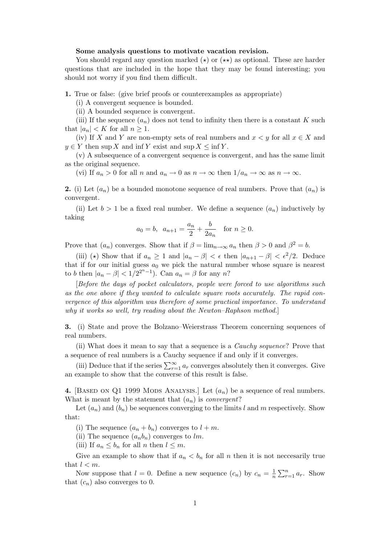## Some analysis questions to motivate vacation revision.

You should regard any question marked  $(\star)$  or  $(\star \star)$  as optional. These are harder questions that are included in the hope that they may be found interesting; you should not worry if you find them difficult.

1. True or false: (give brief proofs or counterexamples as appropriate)

(i) A convergent sequence is bounded.

(ii) A bounded sequence is convergent.

(iii) If the sequence  $(a_n)$  does not tend to infinity then there is a constant K such that  $|a_n| < K$  for all  $n \geq 1$ .

(iv) If X and Y are non-empty sets of real numbers and  $x < y$  for all  $x \in X$  and  $y \in Y$  then sup X and inf Y exist and sup  $X \le \inf Y$ .

(v) A subsequence of a convergent sequence is convergent, and has the same limit as the original sequence.

(vi) If  $a_n > 0$  for all n and  $a_n \to 0$  as  $n \to \infty$  then  $1/a_n \to \infty$  as  $n \to \infty$ .

2. (i) Let  $(a_n)$  be a bounded monotone sequence of real numbers. Prove that  $(a_n)$  is convergent.

(ii) Let  $b > 1$  be a fixed real number. We define a sequence  $(a_n)$  inductively by taking

$$
a_0 = b
$$
,  $a_{n+1} = \frac{a_n}{2} + \frac{b}{2a_n}$  for  $n \ge 0$ .

Prove that  $(a_n)$  converges. Show that if  $\beta = \lim_{n \to \infty} a_n$  then  $\beta > 0$  and  $\beta^2 = b$ .

(iii) ( $\star$ ) Show that if  $a_n \geq 1$  and  $|a_n - \beta| < \epsilon$  then  $|a_{n+1} - \beta| < \epsilon^2/2$ . Deduce that if for our initial guess  $a_0$  we pick the natural number whose square is nearest to b then  $|a_n - \beta| < 1/2^{2^n-1}$ ). Can  $a_n = \beta$  for any n?

[Before the days of pocket calculators, people were forced to use algorithms such as the one above if they wanted to calculate square roots accurately. The rapid convergence of this algorithm was therefore of some practical importance. To understand why it works so well, try reading about the Newton–Raphson method.

3. (i) State and prove the Bolzano–Weierstrass Theorem concerning sequences of real numbers.

(ii) What does it mean to say that a sequence is a Cauchy sequence? Prove that a sequence of real numbers is a Cauchy sequence if and only if it converges.

(iii) Deduce that if the series  $\sum_{r=1}^{\infty} a_r$  converges absolutely then it converges. Give an example to show that the converse of this result is false.

4. [BASED ON Q1 1999 MODS ANALYSIS.] Let  $(a_n)$  be a sequence of real numbers. What is meant by the statement that  $(a_n)$  is *convergent*?

Let  $(a_n)$  and  $(b_n)$  be sequences converging to the limits l and m respectively. Show that:

(i) The sequence  $(a_n + b_n)$  converges to  $l + m$ .

(ii) The sequence  $(a_n b_n)$  converges to lm.

(iii) If  $a_n \leq b_n$  for all n then  $l \leq m$ .

Give an example to show that if  $a_n < b_n$  for all n then it is not necessarily true that  $l < m$ .

Now suppose that  $l = 0$ . Define a new sequence  $(c_n)$  by  $c_n = \frac{1}{n}$  $\frac{1}{n} \sum_{r=1}^{n} a_r$ . Show that  $(c_n)$  also converges to 0.